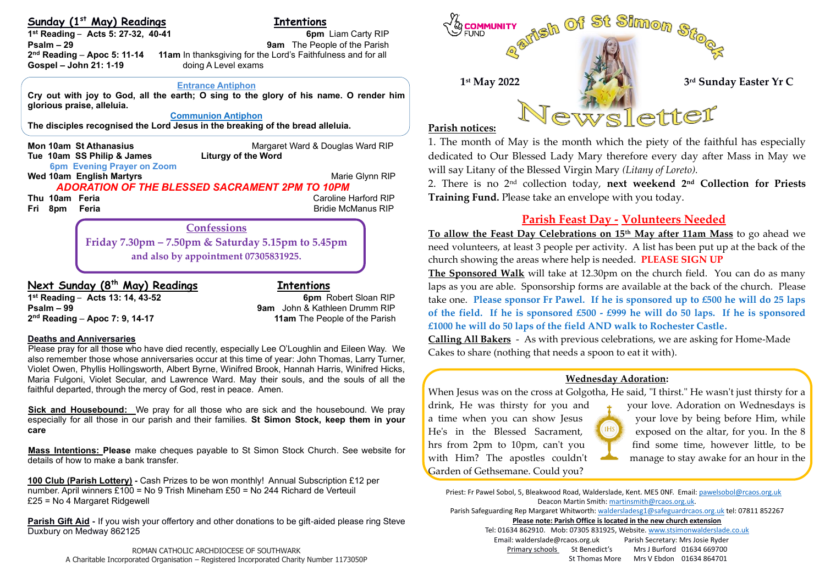## **Sunday (1 st May) Readings Intentions**

j

**1**<sup>st</sup> **Reading** – **Acts 5: 27-32, 40-41** 6pm Liam Carty RIP **Psalm – 29 9am** The People of the Parish 2<sup>nd</sup> Reading – Apoc 5: 11-14 **Gospel – John 21: 1-19** doing A Level exams

**11am** In thanksgiving for the Lord's Faithfulness and for all

 **Entrance Antiphon**

**Cry out with joy to God, all the earth; O sing to the glory of his name. O render him glorious praise, alleluia.**

## **Communion Antiphon**

**The disciples recognised the Lord Jesus in the breaking of the bread alleluia.**

**Mon 10am St Athanasius**<br> **Tue 10am SS Philip & James Margaret Ward & Douglas Ward RIP Tue 10am SS Philip & James Continuent Continuent Continuent Tue 10am SS Philip & James 6pm Evening Prayer on Zoom Wed 10am English Martyrs** Marie Glynn RIP **Marie Glynn RIP** *ADORATION OF THE BLESSED SACRAMENT 2PM TO 10PM* **Thu 10am Feria Caroline Harford RIP Caroline Harford RIP Fri 8pm Feria** Bridie McManus RIP

**Friday 7.30pm – 7.50pm & Saturday 5.15pm to 5.45pm and also by appointment 07305831925.**

**Confessions**

# **Next Sunday (8 th May) Readings Intentions**

**Psalm – 99 9am** John & Kathleen Drumm RIP 2<sup>nd</sup> Reading - Apoc 7: 9, 14-17

**1 st Reading** – **Acts 13: 14, 43-52 6pm** Robert Sloan RIP **11am** The People of the Parish

## **Deaths and Anniversaries**

Please pray for all those who have died recently, especially Lee O'Loughlin and Eileen Way. We also remember those whose anniversaries occur at this time of year: John Thomas, Larry Turner, Violet Owen, Phyllis Hollingsworth, Albert Byrne, Winifred Brook, Hannah Harris, Winifred Hicks, Maria Fulgoni, Violet Secular, and Lawrence Ward. May their souls, and the souls of all the faithful departed, through the mercy of God, rest in peace. Amen.

**Sick and Housebound:** We pray for all those who are sick and the housebound. We pray especially for all those in our parish and their families. **St Simon Stock, keep them in your care**

**Mass Intentions: Please** make cheques payable to St Simon Stock Church. See website for details of how to make a bank transfer.

**100 Club (Parish Lottery) -** Cash Prizes to be won monthly! Annual Subscription £12 per number. April winners £100 = No 9 Trish Mineham £50 = No 244 Richard de Verteuil £25 = No 4 Margaret Ridgewell

**Parish Gift Aid -** If you wish your offertory and other donations to be gift-aided please ring Steve Duxbury on Medway 862125



# **Parish notices:**

1. The month of May is the month which the piety of the faithful has especially dedicated to Our Blessed Lady Mary therefore every day after Mass in May we will say Litany of the Blessed Virgin Mary *(Litany of Loreto).* 

2. There is no 2nd collection today, **next weekend 2nd Collection for Priests Training Fund.** Please take an envelope with you today.

# **Parish Feast Day -****Volunteers Needed**

**To allow the Feast Day Celebrations on 15th May after 11am Mass** to go ahead we need volunteers, at least 3 people per activity. A list has been put up at the back of the church showing the areas where help is needed. **PLEASE SIGN UP**

**The Sponsored Walk** will take at 12.30pm on the church field. You can do as many laps as you are able. Sponsorship forms are available at the back of the church. Please take one. **Please sponsor Fr Pawel. If he is sponsored up to £500 he will do 25 laps of the field. If he is sponsored £500 - £999 he will do 50 laps. If he is sponsored £1000 he will do 50 laps of the field AND walk to Rochester Castle.**

**Calling All Bakers** - As with previous celebrations, we are asking for Home-Made Cakes to share (nothing that needs a spoon to eat it with).

## **Wednesday Adoration:**

When Jesus was on the cross at Golgotha, He said, "I thirst." He wasn't just thirsty for a

Garden of Gethsemane. Could you?



drink, He was thirsty for you and  $\qquad$  your love. Adoration on Wednesdays is a time when you can show Jesus your love by being before Him, while He's in the Blessed Sacrament,  $\frac{1}{2}$  (IHS) exposed on the altar, for you. In the 8 hrs from 2pm to 10pm, can't you find some time, however little, to be with Him? The apostles couldn't manage to stay awake for an hour in the

Priest: Fr Pawel Sobol, 5, Bleakwood Road, Walderslade, Kent. ME5 0NF. Email: pawelsobol@rcaos.org.uk Deacon Martin Smith[: martinsmith@rcaos.org.uk.](mailto:martinsmith@rcaos.org.uk)  Parish Safeguarding Rep Margaret Whitworth[: waldersladesg1@safeguardrcaos.org.uk](mailto:waldersladesg1@safeguardrcaos.org.uk) tel: 07811 852267 **Please note: Parish Office is located in the new church extension** Tel: 01634 862910. Mob: 07305 831925, Website[. www.stsimonwalderslade.co.uk](http://www.stsimonwalderslade/) Email[: walderslade@rcaos.org.uk](mailto:walderslade@rcaos.org.uk) Parish Secretary: Mrs Josie Ryder Primary schools St Benedict's Mrs J Burford 01634 669700 St Thomas More Mrs V Ebdon 01634 864701